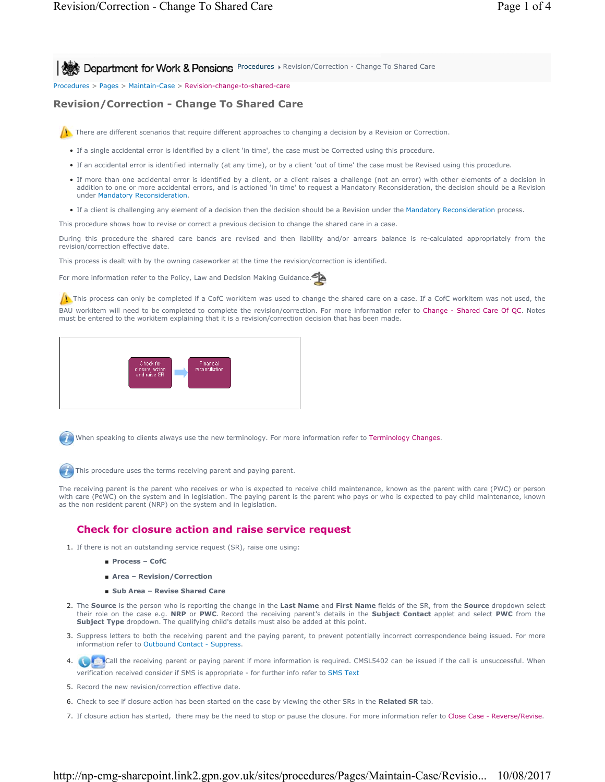**Procedure Department for Work & Pensions** Procedures > Revision/Correction - Change To Shared Care

Procedures > Pages > Maintain-Case > Revision-change-to-shared-care

# **Revision/Correction - Change To Shared Care**



There are different scenarios that require different approaches to changing a decision by a Revision or Correction.

- If a single accidental error is identified by a client 'in time', the case must be Corrected using this procedure.
- If an accidental error is identified internally (at any time), or by a client 'out of time' the case must be Revised using this procedure.
- If more than one accidental error is identified by a client, or a client raises a challenge (not an error) with other elements of a decision in addition to one or more accidental errors, and is actioned 'in time' to request a Mandatory Reconsideration, the decision should be a Revision under Mandatory Reconsideration.
- If a client is challenging any element of a decision then the decision should be a Revision under the Mandatory Reconsideration process.

This procedure shows how to revise or correct a previous decision to change the shared care in a case.

During this procedure the shared care bands are revised and then liability and/or arrears balance is re-calculated appropriately from the revision/correction effective date.

This process is dealt with by the owning caseworker at the time the revision/correction is identified.

For more information refer to the Policy, Law and Decision Making Guidance.

 $\Lambda$  This process can only be completed if a CofC workitem was used to change the shared care on a case. If a CofC workitem was not used, the BAU workitem will need to be completed to complete the revision/correction. For more information refer to Change - Shared Care Of QC. Notes must be entered to the workitem explaining that it is a revision/correction decision that has been made.



When speaking to clients always use the new terminology. For more information refer to Terminology Changes.

This procedure uses the terms receiving parent and paying parent.

The receiving parent is the parent who receives or who is expected to receive child maintenance, known as the parent with care (PWC) or person with care (PeWC) on the system and in legislation. The paying parent is the parent who pays or who is expected to pay child maintenance, known as the non resident parent (NRP) on the system and in legislation.

# **Check for closure action and raise service request**

- 1. If there is not an outstanding service request (SR), raise one using:
	- **Process CofC**
	- **Area Revision/Correction**
	- **Sub Area Revise Shared Care**
- The **Source** is the person who is reporting the change in the **Last Name** and **First Name** fields of the SR, from the **Source** dropdown select their role on the case e.g. **NRP** or **PWC**. Record the receiving parent's details in the **Subject Contact** applet and select **PWC** from the **Subject Type** dropdown. The qualifying child's details must also be added at this point. 2.
- 3. Suppress letters to both the receiving parent and the paying parent, to prevent potentially incorrect correspondence being issued. For more information refer to Outbound Contact - Suppress.
- 4. Call the receiving parent or paying parent if more information is required. CMSL5402 can be issued if the call is unsuccessful. When verification received consider if SMS is appropriate - for further info refer to SMS Text
- 5. Record the new revision/correction effective date.
- 6. Check to see if closure action has been started on the case by viewing the other SRs in the **Related SR** tab.
- 7. If closure action has started, there may be the need to stop or pause the closure. For more information refer to Close Case Reverse/Revise.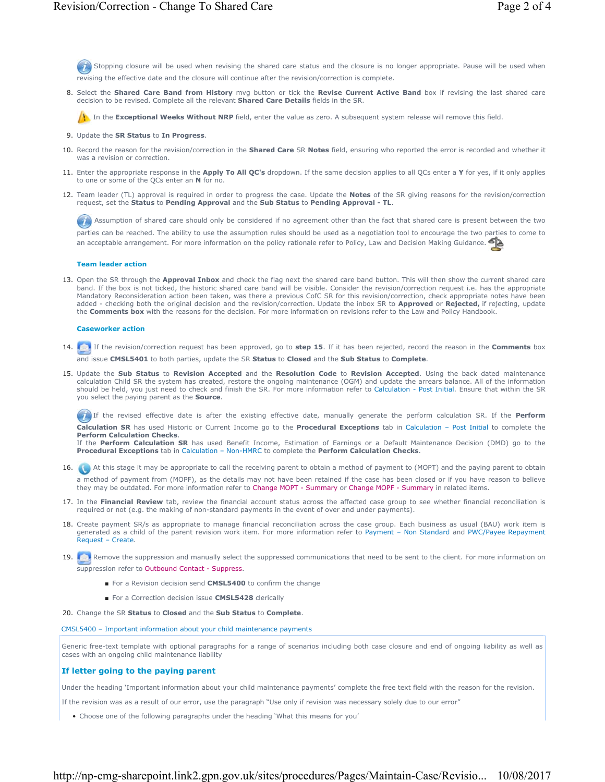Stopping closure will be used when revising the shared care status and the closure is no longer appropriate. Pause will be used when revising the effective date and the closure will continue after the revision/correction is complete.

8. Select the Shared Care Band from History mvg button or tick the Revise Current Active Band box if revising the last shared care decision to be revised. Complete all the relevant **Shared Care Details** fields in the SR.

In the **Exceptional Weeks Without NRP** field, enter the value as zero. A subsequent system release will remove this field.

- 9. Update the **SR Status** to **In Progress**.
- 10. Record the reason for the revision/correction in the Shared Care SR Notes field, ensuring who reported the error is recorded and whether it was a revision or correction.
- 11. Enter the appropriate response in the Apply To All QC's dropdown. If the same decision applies to all QCs enter a Y for yes, if it only applies to one or some of the QCs enter an **N** for no.
- 12. Team leader (TL) approval is required in order to progress the case. Update the **Notes** of the SR giving reasons for the revision/correction request, set the **Status** to **Pending Approval** and the **Sub Status** to **Pending Approval - TL**.

Assumption of shared care should only be considered if no agreement other than the fact that shared care is present between the two parties can be reached. The ability to use the assumption rules should be used as a negotiation tool to encourage the two parties to come to an acceptable arrangement. For more information on the policy rationale refer to Policy, Law and Decision Making Guidance.

#### **Team leader action**

13. Open the SR through the **Approval Inbox** and check the flag next the shared care band button. This will then show the current shared care band. If the box is not ticked, the historic shared care band will be visible. Consider the revision/correction request i.e. has the appropriate Mandatory Reconsideration action been taken, was there a previous CofC SR for this revision/correction, check appropriate notes have been added - checking both the original decision and the revision/correction. Update the inbox SR to **Approved** or **Rejected,** if rejecting, update the **Comments box** with the reasons for the decision. For more information on revisions refer to the Law and Policy Handbook.

#### **Caseworker action**

- If the revision/correction request has been approved, go to **step 15**. If it has been rejected, record the reason in the **Comments** box 14. and issue **CMSL5401** to both parties, update the SR **Status** to **Closed** and the **Sub Status** to **Complete**.
- 15. Update the Sub Status to Revision Accepted and the Resolution Code to Revision Accepted. Using the back dated maintenance calculation Child SR the system has created, restore the ongoing maintenance (OGM) and update the arrears balance. All of the information should be held, you just need to check and finish the SR. For more information refer to Calculation - Post Initial. Ensure that within the SR you select the paying parent as the **Source**.

 If the revised effective date is after the existing effective date, manually generate the perform calculation SR. If the **Perform Calculation SR** has used Historic or Current Income go to the **Procedural Exceptions** tab in Calculation – Post Initial to complete the **Perform Calculation Checks**.

If the **Perform Calculation SR** has used Benefit Income, Estimation of Earnings or a Default Maintenance Decision (DMD) go to the **Procedural Exceptions** tab in Calculation – Non-HMRC to complete the **Perform Calculation Checks**.

- 16. At this stage it may be appropriate to call the receiving parent to obtain a method of payment to (MOPT) and the paying parent to obtain a method of payment from (MOPF), as the details may not have been retained if the case has been closed or if you have reason to believe they may be outdated. For more information refer to Change MOPT - Summary or Change MOPF - Summary in related items.
- 17. In the Financial Review tab, review the financial account status across the affected case group to see whether financial reconciliation is required or not (e.g. the making of non-standard payments in the event of over and under payments).
- 18. Create payment SR/s as appropriate to manage financial reconciliation across the case group. Each business as usual (BAU) work item is generated as a child of the parent revision work item. For more information refer to Payment – Non Standard and PWC/Payee Repayment Request – Create.
- 19. Remove the suppression and manually select the suppressed communications that need to be sent to the client. For more information on suppression refer to Outbound Contact - Suppress.
	- For a Revision decision send **CMSL5400** to confirm the change
	- For a Correction decision issue **CMSL5428** clerically
- 20. Change the SR **Status** to **Closed** and the **Sub Status** to **Complete**.

# CMSL5400 – Important information about your child maintenance payments

Generic free-text template with optional paragraphs for a range of scenarios including both case closure and end of ongoing liability as well as cases with an ongoing child maintenance liability

# **If letter going to the paying parent**

Under the heading 'Important information about your child maintenance payments' complete the free text field with the reason for the revision.

If the revision was as a result of our error, use the paragraph "Use only if revision was necessary solely due to our error"

• Choose one of the following paragraphs under the heading 'What this means for you'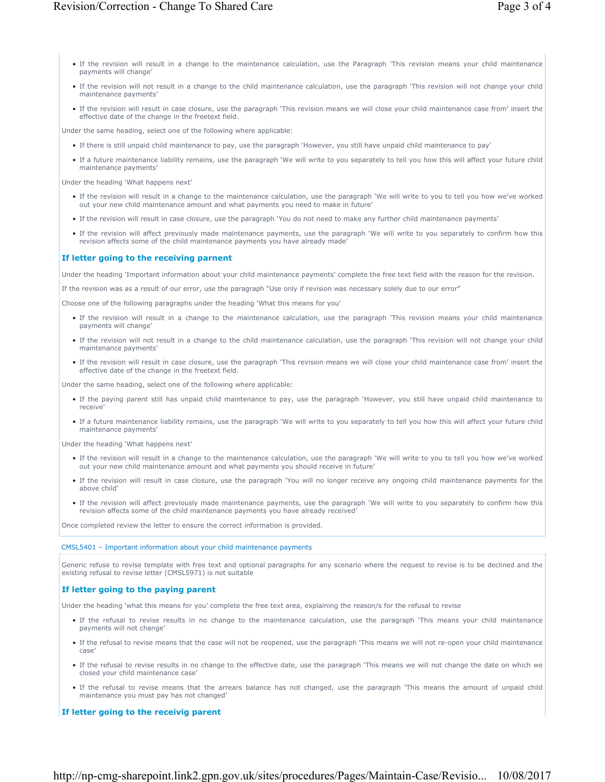- If the revision will result in a change to the maintenance calculation, use the Paragraph 'This revision means your child maintenance payments will change'
- If the revision will not result in a change to the child maintenance calculation, use the paragraph 'This revision will not change your child maintenance payments'
- If the revision will result in case closure, use the paragraph 'This revision means we will close your child maintenance case from' insert the effective date of the change in the freetext field.

Under the same heading, select one of the following where applicable:

- If there is still unpaid child maintenance to pay, use the paragraph 'However, you still have unpaid child maintenance to pay'
- If a future maintenance liability remains, use the paragraph 'We will write to you separately to tell you how this will affect your future child maintenance payments'

Under the heading 'What happens next'

- If the revision will result in a change to the maintenance calculation, use the paragraph 'We will write to you to tell you how we've worked out your new child maintenance amount and what payments you need to make in future'
- If the revision will result in case closure, use the paragraph 'You do not need to make any further child maintenance payments'
- If the revision will affect previously made maintenance payments, use the paragraph 'We will write to you separately to confirm how this revision affects some of the child maintenance payments you have already made'

#### **If letter going to the receiving parnent**

Under the heading 'Important information about your child maintenance payments' complete the free text field with the reason for the revision.

If the revision was as a result of our error, use the paragraph "Use only if revision was necessary solely due to our error"

Choose one of the following paragraphs under the heading 'What this means for you'

- If the revision will result in a change to the maintenance calculation, use the paragraph 'This revision means your child maintenance payments will change'
- If the revision will not result in a change to the child maintenance calculation, use the paragraph 'This revision will not change your child maintenance payments'
- If the revision will result in case closure, use the paragraph 'This revision means we will close your child maintenance case from' insert the effective date of the change in the freetext field.

Under the same heading, select one of the following where applicable:

- If the paying parent still has unpaid child maintenance to pay, use the paragraph 'However, you still have unpaid child maintenance to receive'
- If a future maintenance liability remains, use the paragraph 'We will write to you separately to tell you how this will affect your future child maintenance payments'

Under the heading 'What happens next'

- If the revision will result in a change to the maintenance calculation, use the paragraph 'We will write to you to tell you how we've worked out your new child maintenance amount and what payments you should receive in future'
- If the revision will result in case closure, use the paragraph 'You will no longer receive any ongoing child maintenance payments for the above child'
- If the revision will affect previously made maintenance payments, use the paragraph 'We will write to you separately to confirm how this revision affects some of the child maintenance payments you have already received'

Once completed review the letter to ensure the correct information is provided.

# CMSL5401 – Important information about your child maintenance payments

Generic refuse to revise template with free text and optional paragraphs for any scenario where the request to revise is to be declined and the existing refusal to revise letter (CMSL5971) is not suitable

#### **If letter going to the paying parent**

Under the heading 'what this means for you' complete the free text area, explaining the reason/s for the refusal to revise

- If the refusal to revise results in no change to the maintenance calculation, use the paragraph 'This means your child maintenance payments will not change'
- If the refusal to revise means that the case will not be reopened, use the paragraph 'This means we will not re-open your child maintenance case'
- If the refusal to revise results in no change to the effective date, use the paragraph 'This means we will not change the date on which we closed your child maintenance case'
- If the refusal to revise means that the arrears balance has not changed, use the paragraph 'This means the amount of unpaid child maintenance you must pay has not changed'

## **If letter going to the receivig parent**